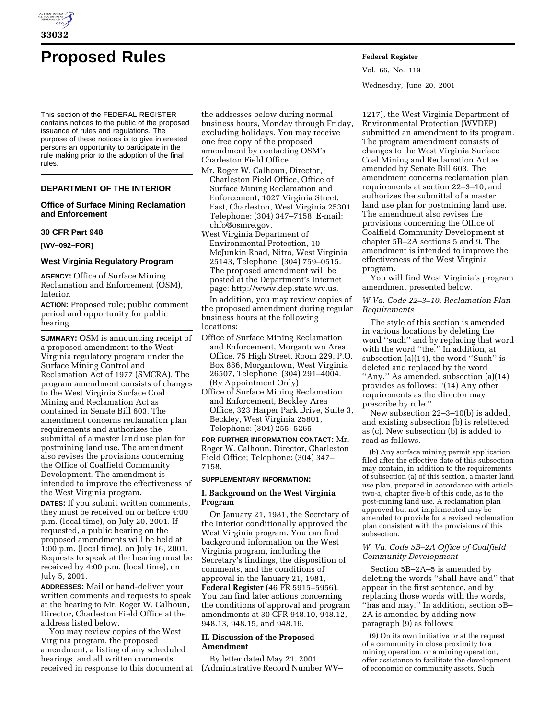

# **Proposed Rules Federal Register**

This section of the FEDERAL REGISTER contains notices to the public of the proposed issuance of rules and regulations. The purpose of these notices is to give interested persons an opportunity to participate in the rule making prior to the adoption of the final rules.

# **DEPARTMENT OF THE INTERIOR**

# **Office of Surface Mining Reclamation and Enforcement**

# **30 CFR Part 948**

#### **[WV–092–FOR]**

## **West Virginia Regulatory Program**

**AGENCY:** Office of Surface Mining Reclamation and Enforcement (OSM), Interior.

**ACTION:** Proposed rule; public comment period and opportunity for public hearing.

**SUMMARY:** OSM is announcing receipt of a proposed amendment to the West Virginia regulatory program under the Surface Mining Control and Reclamation Act of 1977 (SMCRA). The program amendment consists of changes to the West Virginia Surface Coal Mining and Reclamation Act as contained in Senate Bill 603. The amendment concerns reclamation plan requirements and authorizes the submittal of a master land use plan for postmining land use. The amendment also revises the provisions concerning the Office of Coalfield Community Development. The amendment is intended to improve the effectiveness of the West Virginia program.

**DATES:** If you submit written comments, they must be received on or before 4:00 p.m. (local time), on July 20, 2001. If requested, a public hearing on the proposed amendments will be held at 1:00 p.m. (local time), on July 16, 2001. Requests to speak at the hearing must be received by 4:00 p.m. (local time), on July 5, 2001.

**ADDRESSES:** Mail or hand-deliver your written comments and requests to speak at the hearing to Mr. Roger W. Calhoun, Director, Charleston Field Office at the address listed below.

You may review copies of the West Virginia program, the proposed amendment, a listing of any scheduled hearings, and all written comments received in response to this document at

the addresses below during normal business hours, Monday through Friday, excluding holidays. You may receive one free copy of the proposed amendment by contacting OSM's Charleston Field Office.

- Mr. Roger W. Calhoun, Director, Charleston Field Office, Office of Surface Mining Reclamation and Enforcement, 1027 Virginia Street, East, Charleston, West Virginia 25301 Telephone: (304) 347–7158. E-mail: chfo@osmre.gov.
- West Virginia Department of Environmental Protection, 10 McJunkin Road, Nitro, West Virginia 25143, Telephone: (304) 759–0515. The proposed amendment will be posted at the Department's Internet page: http://www.dep.state.wv.us.

In addition, you may review copies of the proposed amendment during regular business hours at the following locations:

- Office of Surface Mining Reclamation and Enforcement, Morgantown Area Office, 75 High Street, Room 229, P.O. Box 886, Morgantown, West Virginia 26507, Telephone: (304) 291–4004. (By Appointment Only)
- Office of Surface Mining Reclamation and Enforcement, Beckley Area Office, 323 Harper Park Drive, Suite 3, Beckley, West Virginia 25801, Telephone: (304) 255–5265.

**FOR FURTHER INFORMATION CONTACT:** Mr. Roger W. Calhoun, Director, Charleston Field Office; Telephone: (304) 347– 7158.

#### **SUPPLEMENTARY INFORMATION:**

# **I. Background on the West Virginia Program**

On January 21, 1981, the Secretary of the Interior conditionally approved the West Virginia program. You can find background information on the West Virginia program, including the Secretary's findings, the disposition of comments, and the conditions of approval in the January 21, 1981, **Federal Register** (46 FR 5915–5956). You can find later actions concerning the conditions of approval and program amendments at 30 CFR 948.10, 948.12, 948.13, 948.15, and 948.16.

# **II. Discussion of the Proposed Amendment**

By letter dated May 21, 2001 (Administrative Record Number WV– Vol. 66, No. 119 Wednesday, June 20, 2001

1217), the West Virginia Department of Environmental Protection (WVDEP) submitted an amendment to its program. The program amendment consists of changes to the West Virginia Surface Coal Mining and Reclamation Act as amended by Senate Bill 603. The amendment concerns reclamation plan requirements at section 22–3–10, and authorizes the submittal of a master land use plan for postmining land use. The amendment also revises the provisions concerning the Office of Coalfield Community Development at chapter 5B–2A sections 5 and 9. The amendment is intended to improve the effectiveness of the West Virginia program.

You will find West Virginia's program amendment presented below.

*W.Va. Code 22–3–10. Reclamation Plan Requirements*

The style of this section is amended in various locations by deleting the word ''such'' and by replacing that word with the word ''the.'' In addition, at subsection (a)(14), the word "Such" is deleted and replaced by the word ''Any.'' As amended, subsection (a)(14) provides as follows: ''(14) Any other requirements as the director may prescribe by rule.''

New subsection 22–3–10(b) is added, and existing subsection (b) is relettered as (c). New subsection (b) is added to read as follows.

(b) Any surface mining permit application filed after the effective date of this subsection may contain, in addition to the requirements of subsection (a) of this section, a master land use plan, prepared in accordance with article two-a, chapter five-b of this code, as to the post-mining land use. A reclamation plan approved but not implemented may be amended to provide for a revised reclamation plan consistent with the provisions of this subsection.

# *W. Va. Code 5B–2A Office of Coalfield Community Development*

Section 5B–2A–5 is amended by deleting the words ''shall have and'' that appear in the first sentence, and by replacing those words with the words, ''has and may.'' In addition, section 5B– 2A is amended by adding new paragraph (9) as follows:

(9) On its own initiative or at the request of a community in close proximity to a mining operation, or a mining operation, offer assistance to facilitate the development of economic or community assets. Such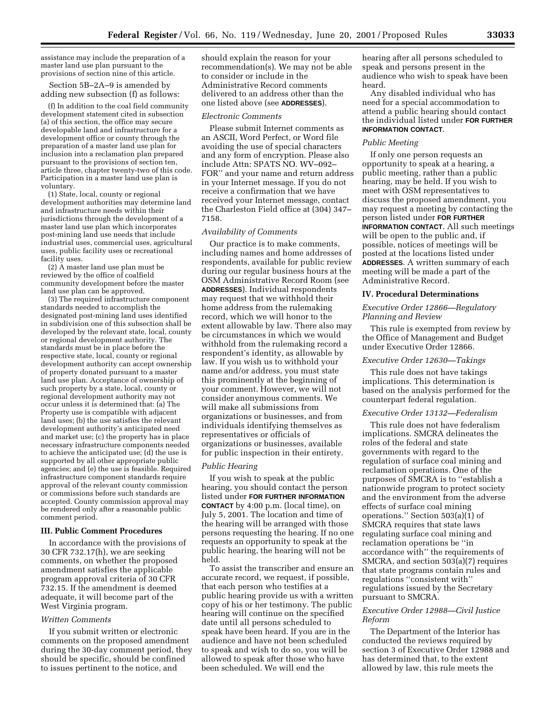assistance may include the preparation of a master land use plan pursuant to the provisions of section nine of this article.

Section 5B–2A–9 is amended by adding new subsection (f) as follows:

(f) In addition to the coal field community development statement cited in subsection (a) of this section, the office may secure developable land and infrastructure for a development office or county through the preparation of a master land use plan for inclusion into a reclamation plan prepared pursuant to the provisions of section ten, article three, chapter twenty-two of this code. Participation in a master land use plan is voluntary.

(1) State, local, county or regional development authorities may determine land and infrastructure needs within their jurisdictions through the development of a master land use plan which incorporates post-mining land use needs that include industrial uses, commercial uses, agricultural uses, public facility uses or recreational facility uses.

(2) A master land use plan must be reviewed by the office of coalfield community development before the master land use plan can be approved.

(3) The required infrastructure component standards needed to accomplish the designated post-mining land uses identified in subdivision one of this subsection shall be developed by the relevant state, local, county or regional development authority. The standards must be in place before the respective state, local, county or regional development authority can accept ownership of property donated pursuant to a master land use plan. Acceptance of ownership of such property by a state, local, county or regional development authority may not occur unless it is determined that: (a) The Property use is compatible with adjacent land uses; (b) the use satisfies the relevant development authority's anticipated need and market use; (c) the property has in place necessary infrastructure components needed to achieve the anticipated use; (d) the use is supported by all other appropriate public agencies; and (e) the use is feasible. Required infrastructure component standards require approval of the relevant county commission or commissions before such standards are accepted. County commission approval may be rendered only after a reasonable public comment period.

#### **III. Public Comment Procedures**

In accordance with the provisions of 30 CFR 732.17(h), we are seeking comments, on whether the proposed amendment satisfies the applicable program approval criteria of 30 CFR 732.15. If the amendment is deemed adequate, it will become part of the West Virginia program.

#### *Written Comments*

If you submit written or electronic comments on the proposed amendment during the 30-day comment period, they should be specific, should be confined to issues pertinent to the notice, and

should explain the reason for your recommendation(s). We may not be able to consider or include in the Administrative Record comments delivered to an address other than the one listed above (see **ADDRESSES**).

#### *Electronic Comments*

Please submit Internet comments as an ASCII, Word Perfect, or Word file avoiding the use of special characters and any form of encryption. Please also include Attn: SPATS NO. WV–092– FOR'' and your name and return address in your Internet message. If you do not receive a confirmation that we have received your Internet message, contact the Charleston Field office at (304) 347– 7158.

#### *Availability of Comments*

Our practice is to make comments, including names and home addresses of respondents, available for public review during our regular business hours at the OSM Administrative Record Room (see **ADDRESSES**). Individual respondents may request that we withhold their home address from the rulemaking record, which we will honor to the extent allowable by law. There also may be circumstances in which we would withhold from the rulemaking record a respondent's identity, as allowable by law. If you wish us to withhold your name and/or address, you must state this prominently at the beginning of your comment. However, we will not consider anonymous comments. We will make all submissions from organizations or businesses, and from individuals identifying themselves as representatives or officials of organizations or businesses, available for public inspection in their entirety.

#### *Public Hearing*

If you wish to speak at the public hearing, you should contact the person listed under **FOR FURTHER INFORMATION CONTACT** by 4:00 p.m. (local time), on July 5, 2001. The location and time of the hearing will be arranged with those persons requesting the hearing. If no one requests an opportunity to speak at the public hearing, the hearing will not be held.

To assist the transcriber and ensure an accurate record, we request, if possible, that each person who testifies at a public hearing provide us with a written copy of his or her testimony. The public hearing will continue on the specified date until all persons scheduled to speak have been heard. If you are in the audience and have not been scheduled to speak and wish to do so, you will be allowed to speak after those who have been scheduled. We will end the

hearing after all persons scheduled to speak and persons present in the audience who wish to speak have been heard.

Any disabled individual who has need for a special accommodation to attend a public hearing should contact the individual listed under **FOR FURTHER INFORMATION CONTACT**.

## *Public Meeting*

If only one person requests an opportunity to speak at a hearing, a public meeting, rather than a public hearing, may be held. If you wish to meet with OSM representatives to discuss the proposed amendment, you may request a meeting by contacting the person listed under **FOR FURTHER INFORMATION CONTACT**. All such meetings will be open to the public and, if possible, notices of meetings will be posted at the locations listed under **ADDRESSES**. A written summary of each meeting will be made a part of the Administrative Record.

#### **IV. Procedural Determinations**

## *Executive Order 12866—Regulatory Planning and Review*

This rule is exempted from review by the Office of Management and Budget under Executive Order 12866.

#### *Executive Order 12630—Takings*

This rule does not have takings implications. This determination is based on the analysis performed for the counterpart federal regulation.

#### *Executive Order 13132—Federalism*

This rule does not have federalism implications. SMCRA delineates the roles of the federal and state governments with regard to the regulation of surface coal mining and reclamation operations. One of the purposes of SMCRA is to ''establish a nationwide program to protect society and the environment from the adverse effects of surface coal mining operations.'' Section 503(a)(1) of SMCRA requires that state laws regulating surface coal mining and reclamation operations be ''in accordance with'' the requirements of SMCRA, and section 503(a)(7) requires that state programs contain rules and regulations ''consistent with'' regulations issued by the Secretary pursuant to SMCRA.

## *Executive Order 12988—Civil Justice Reform*

The Department of the Interior has conducted the reviews required by section 3 of Executive Order 12988 and has determined that, to the extent allowed by law, this rule meets the